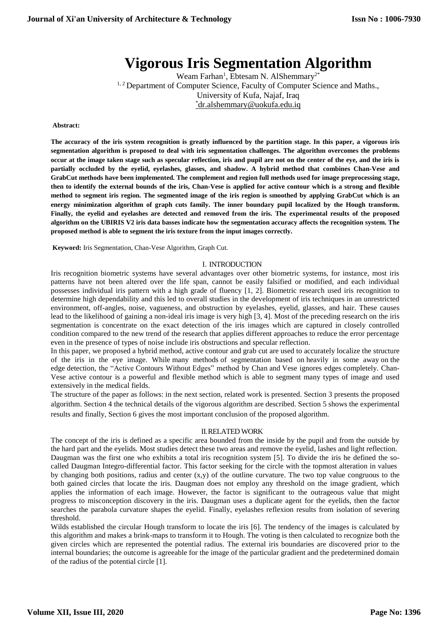# **Vigorous Iris Segmentation Algorithm**

Weam Farhan<sup>1</sup>, Ebtesam N. AlShemmary<sup>2\*</sup> <sup>1, 2</sup> Department of Computer Science, Faculty of Computer Science and Maths., University of Kufa, Najaf, Iraq \*[dr.alshemmary@uokufa.edu.iq](mailto:*dr.alshemmary@uokufa.edu.iq)

#### **Abstract:**

**The accuracy of the iris system recognition is greatly influenced by the partition stage. In this paper, a vigorous iris segmentation algorithm is proposed to deal with iris segmentation challenges. The algorithm overcomes the problems occur at the image taken stage such as specular reflection, iris and pupil are not on the center of the eye, and the iris is partially occluded by the eyelid, eyelashes, glasses, and shadow. A hybrid method that combines Chan-Vese and GrabCut methods have been implemented. The complement and region full methods used for image preprocessing stage, then to identify the external bounds of the iris, Chan-Vese is applied for active contour which is a strong and flexible method to segment iris region. The segmented image of the iris region is smoothed by applying GrabCut which is an energy minimization algorithm of graph cuts family. The inner boundary pupil localized by the Hough transform. Finally, the eyelid and eyelashes are detected and removed from the iris. The experimental results of the proposed algorithm on the UBIRIS V2 iris data basses indicate how the segmentation accuracy affects the recognition system. The proposed method is able to segment the iris texture from the input images correctly.**

**Keyword:** Iris Segmentation, Chan-Vese Algorithm, Graph Cut.

#### I. INTRODUCTION

Iris recognition biometric systems have several advantages over other biometric systems, for instance, most iris patterns have not been altered over the life span, cannot be easily falsified or modified, and each individual possesses individual iris pattern with a high grade of fluency [1, 2]. Biometric research used iris recognition to determine high dependability and this led to overall studies in the development of iris techniques in an unrestricted environment, off-angles, noise, vagueness, and obstruction by eyelashes, eyelid, glasses, and hair. These causes lead to the likelihood of gaining a non-ideal iris image is very high [3, 4]. Most of the preceding research on the iris segmentation is concentrate on the exact detection of the iris images which are captured in closely controlled condition compared to the new trend of the research that applies different approaches to reduce the error percentage even in the presence of types of noise include iris obstructions and specular reflection.

In this paper, we proposed a hybrid method, active contour and grab cut are used to accurately localize the structure of the iris in the eye image. While many methods of segmentation based on heavily in some away on the edge. detection, the "Active Contours Without Edges" method by Chan and Vese ignores edges completely. Chan-Vese active contour is a powerful and flexible method which is able to segment many types of image and used extensively in the medical fields.

The structure of the paper as follows: in the next section, related work is presented. Section 3 presents the proposed algorithm. Section 4 the technical details of the vigorous algorithm are described. Section 5 shows the experimental results and finally, Section 6 gives the most important conclusion of the proposed algorithm.

#### II.RELATED WORK

The concept of the iris is defined as a specific area bounded from the inside by the pupil and from the outside by the hard part and the eyelids. Most studies detect these two areas and remove the eyelid, lashes and light reflection. Daugman was the first one who exhibits a total iris recognition system [5]. To divide the iris he defined the socalled Daugman Integro-differential factor. This factor seeking for the circle with the topmost alteration in values by changing both positions, radius and center  $(x,y)$  of the outline curvature. The two top value congruous to the both gained circles that locate the iris. Daugman does not employ any threshold on the image gradient, which applies the information of each image. However, the factor is significant to the outrageous value that might progress to misconception discovery in the iris. Daugman uses a duplicate agent for the eyelids, then the factor searches the parabola curvature shapes the eyelid. Finally, eyelashes reflexion results from isolation of severing threshold.

Wilds established the circular Hough transform to locate the iris [6]. The tendency of the images is calculated by this algorithm and makes a brink-maps to transform it to Hough. The voting is then calculated to recognize both the given circles which are represented the potential radius. The external iris boundaries are discovered prior to the internal boundaries; the outcome is agreeable for the image of the particular gradient and the predetermined domain of the radius of the potential circle [1].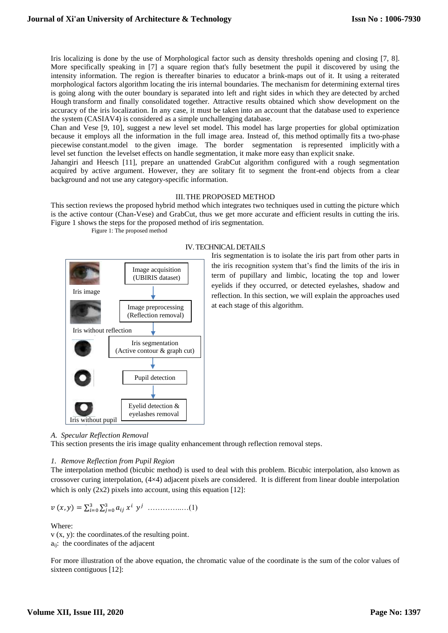Iris localizing is done by the use of Morphological factor such as density thresholds opening and closing [7, 8]. More specifically speaking in [7] a square region that's fully besetment the pupil it discovered by using the intensity information. The region is thereafter binaries to educator a brink-maps out of it. It using a reiterated morphological factors algorithm locating the iris internal boundaries. The mechanism for determining external tires is going along with the outer boundary is separated into left and right sides in which they are detected by arched Hough transform and finally consolidated together. Attractive results obtained which show development on the accuracy of the iris localization. In any case, it must be taken into an account that the database used to experience the system (CASIAV4) is considered as a simple unchallenging database.

Chan and Vese [9, 10], suggest a new level set model. This model has large properties for global optimization because it employs all the information in the full image area. Instead of, this method optimally fits a two-phase piecewise constant.model to the given image. The border segmentation is represented implicitly with a level set function the levelset effects on handle segmentation, it make more easy than explicit snake.

Jahangiri and Heesch [11], prepare an unattended GrabCut algorithm configured with a rough segmentation acquired by active argument. However, they are solitary fit to segment the front-end objects from a clear background and not use any category-specific information.

#### III.THE PROPOSED METHOD

This section reviews the proposed hybrid method which integrates two techniques used in cutting the picture which is the active contour (Chan-Vese) and GrabCut, thus we get more accurate and efficient results in cutting the iris. Figure 1 shows the steps for the proposed method of iris segmentation.

Figure 1: The proposed method



## IV.TECHNICAL DETAILS

Iris segmentation is to isolate the iris part from other parts in the iris recognition system that's find the limits of the iris in term of pupillary and limbic, locating the top and lower eyelids if they occurred, or detected eyelashes, shadow and reflection. In this section, we will explain the approaches used at each stage of this algorithm.

#### *A. Specular Reflection Removal*

This section presents the iris image quality enhancement through reflection removal steps.

## *1. Remove Reflection from Pupil Region*

The interpolation method (bicubic method) is used to deal with this problem. Bicubic interpolation, also known as crossover curing interpolation, (4×4) adjacent pixels are considered. It is different from linear double interpolation which is only  $(2x2)$  pixels into account, using this equation [12]:

$$
v(x, y) = \sum_{i=0}^{3} \sum_{j=0}^{3} a_{ij} x^{i} y^{j} \dots \dots \dots \dots \dots (1)
$$

Where:

v (x, y): the coordinates.of the resulting point. aij: the coordinates of the adjacent

For more illustration of the above equation, the chromatic value of the coordinate is the sum of the color values of sixteen contiguous [12]: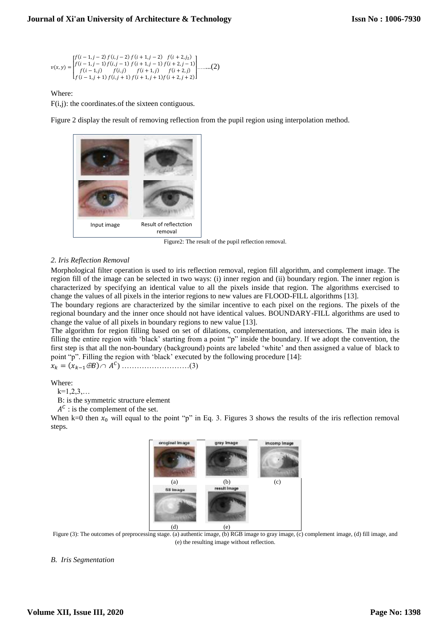$$
v(x,y) = \begin{bmatrix} f(i-1,j-2) f(i,j-2) f(i+1,j-2) & f(i+2,j_2) \\ f(i-1,j-1) f(i,j-1) & f(i+1,j-1) f(i+2,j-1) \\ f(i-1,j) & f(i,j) & f(i+1,j) f(i+2,j+2) \end{bmatrix} \dots \dots (2)
$$

## Where:

 $F(i,j)$ : the coordinates of the sixteen contiguous.

Figure 2 display the result of removing reflection from the pupil region using interpolation method.



Figure2: The result of the pupil reflection removal.

## *2. Iris Reflection Removal*

Morphological filter operation is used to iris reflection removal, region fill algorithm, and complement image. The region fill of the image can be selected in two ways: (i) inner region and (ii) boundary region. The inner region is characterized by specifying an identical value to all the pixels inside that region. The algorithms exercised to change the values of all pixels in the interior regions to new values are FLOOD-FILL algorithms [13].

The boundary regions are characterized by the similar incentive to each pixel on the regions. The pixels of the regional boundary and the inner once should not have identical values. BOUNDARY-FILL algorithms are used to change the value of all pixels in boundary regions to new value [13].

The algorithm for region filling based on set of dilations, complementation, and intersections. The main idea is filling the entire region with 'black' starting from a point "p" inside the boundary. If we adopt the convention, the first step is that all the non-boundary (background) points are labeled 'white' and then assigned a value of black to point "p". Filling the region with 'black' executed by the following procedure [14]:

 $x_k = (x_{k-1} \oplus B) \cap A^C$  ……………………………(3)

Where:

 $k=1,2,3,...$ 

B: is the symmetric structure element

 $A^C$ : is the complement of the set.

When k=0 then  $x_0$  will equal to the point "p" in Eq. 3. Figures 3 shows the results of the iris reflection removal steps.



Figure (3): The outcomes of preprocessing stage. (a) authentic image, (b) RGB image to gray image, (c) complement image, (d) fill image, and (e) the resulting image without reflection.

*B. Iris Segmentation*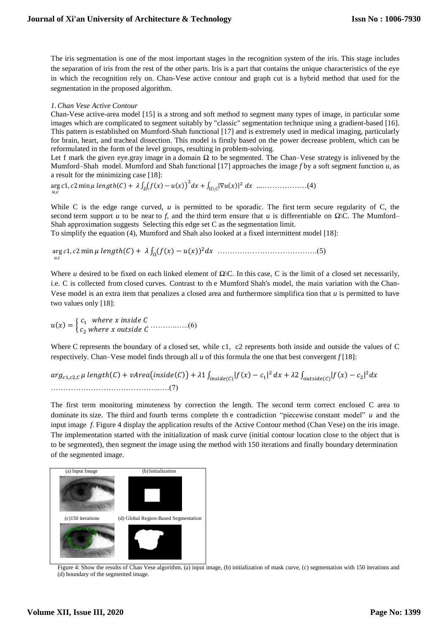The iris segmentation is one of the most important stages in the recognition system of the iris. This stage includes the separation of iris from the rest of the other parts. Iris is a part that contains the unique characteristics of the eye in which the recognition rely on. Chan-Vese active contour and graph cut is a hybrid method that used for the segmentation in the proposed algorithm.

#### *1.Chan Vese Active Contour*

Chan-Vese active-area model [15] is a strong and soft method to segment many types of image, in particular some images which are complicated to segment suitably by "classic" segmentation technique using a gradient-based [16]. This pattern is established on Mumford-Shah functional [17] and is extremely used in medical imaging, particularly for brain, heart, and tracheal dissection. This model is firstly based on the power decrease problem, which can be reformulated in the form of the level groups, resulting in problem-solving.

Let f mark the given eye.gray image in a domain  $\Omega$  to be segmented. The Chan–Vese strategy is inlivened by the Mumford–Shah. model. Mumford and Shah functional [17] approaches the image  $f$  by a soft segment function  $u$ , as a result for the minimizing case [18]:

arg 1, 2 min ℎ() + ∫ (() − ()) 2 + ∫ |∇()| 2 Ω Ω∖C ...………………(4)  $u, c$ 

While C is the edge range curved,  $u$  is permitted to be sporadic. The first term secure regularity of C, the second term support *u* to be near to *f*, and the third term ensure that *u* is differentiable on  $\Omega$ \C. The Mumford– Shah approximation suggests. Selecting this edge set  $C$  as the segmentation limit.

To simplify the equation (4), Mumford and Shah also looked at a fixed intermittent model [18]:

arg , 1, 2 min ℎ() + ∫ (()− ()) <sup>2</sup> <sup>Ω</sup> ………………………………….(5)

Where *u* desired to be fixed on each linked element of  $\Omega\backslash C$ . In this case, C is the limit of a closed set necessarily, i.e. C is collected from closed curves. Contrast to the Mumford Shah's model, the main variation with the Chan-Vese model is an extra item that penalizes a closed area and furthermore simplification that  $u$  is permitted to have two values only [18]:

 $u(x) = \begin{cases} c_1 & \text{where } x \text{ inside } C \\ a & \text{otherwise} \end{cases}$ <sup>2</sup> ℎ ………..…..(6)

Where C represents the boundary of a closed set, while c1, c2 represents both inside and outside the values of C respectively. Chan–Vese model finds through all *u* of this formula the one that best convergent *f* [18]:

```
arg_{c1,c2,C} \mu length(C) + vArea\left ( inside(C) \right ) + \lambda 1 \int_{inside(C)} \lvert f(x) - c_1 \rvert^2 \, dx + \lambda 2 \int_{outside(C)} \lvert f(x) - c_2 \rvert^2 \, dx……………………………………..….(7)
```
The first term monitoring minuteness by correction the length. The second term correct enclosed C area to dominate its size. The third and fourth terms complete the contradiction "piecewise constant model"  $u$  and the input image f. Figure 4 display the application results of the Active Contour method (Chan Vese) on the iris image. The implementation started with the initialization of mask curve (initial contour location close to the object that is to be segmented), then segment the image using the method with 150 iterations and finally boundary determination of the segmented image.



Figure 4: Show the results of Chan Vese algorithm, (a) input image, (b) initialization of mask curve, (c) segmentation with 150 iterations and (d) boundary of the segmented image.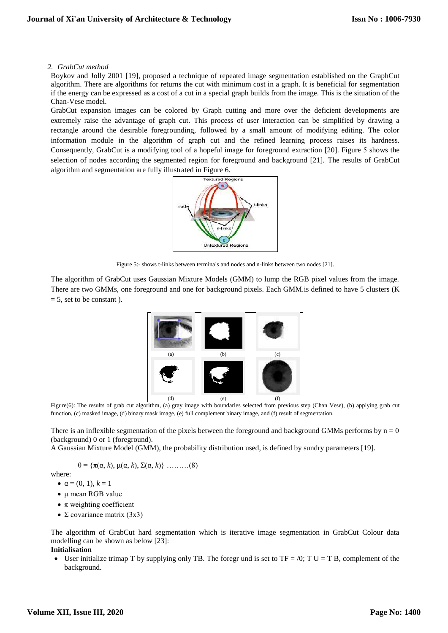#### *2. GrabCut method*

Boykov and Jolly 2001 [19], proposed a technique of repeated image segmentation established on the GraphCut algorithm. There are algorithms for returns the cut with minimum cost in a graph. It is beneficial for segmentation if the energy can be expressed as a cost of a cut in a special graph builds from the image. This is the situation of the Chan-Vese model.

GrabCut expansion images can be colored by Graph cutting and more over the deficient developments are extremely raise the advantage of graph cut. This process of user interaction can be simplified by drawing a rectangle around the desirable foregrounding, followed by a small amount of modifying editing. The color information module in the algorithm of graph cut and the refined learning process raises its hardness. Consequently, GrabCut is a modifying tool of a hopeful image for foreground extraction [20]. Figure 5 shows the selection of nodes according the segmented region for foreground and background [21]. The results of GrabCut algorithm and segmentation are fully illustrated in Figure 6.



Figure 5:- shows t-links between terminals and nodes and n-links between two nodes [21].

The algorithm of GrabCut uses Gaussian Mixture Models (GMM) to lump the RGB pixel values from the image. There are two GMMs, one foreground and one for background pixels. Each GMM.is defined to have 5 clusters (K  $= 5$ , set to be constant ).



Figure(6): The results of grab cut algorithm, (a) gray image with boundaries selected from previous step (Chan Vese), (b) applying grab cut function, (c) masked image, (d) binary mask image, (e) full complement binary image, and (f) result of segmentation.

There is an inflexible segmentation of the pixels between the foreground and background GMMs performs by  $n = 0$ (background) 0 or 1 (foreground).

A Gaussian Mixture Model (GMM), the probability distribution used, is defined by sundry parameters [19].

$$
\theta = \{\pi(\alpha, k), \mu(\alpha, k), \Sigma(\alpha, k)\} \dots \dots \dots (8)
$$

where:

- $\alpha = (0, 1), k = 1$
- μ mean RGB value
- $\bullet$   $\pi$  weighting coefficient
- $\Sigma$  covariance matrix (3x3)

The algorithm of GrabCut hard segmentation which is iterative image segmentation in GrabCut Colour data modelling can be shown as below [23]:

## **Initialisation**

User initialize trimap T by supplying only TB. The foregr und is set to TF = /0; T.U = T.B, complement of the background.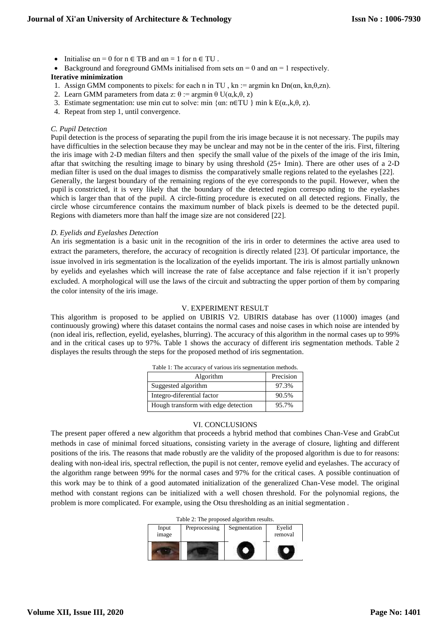## **Journal of Xi'an University of Architecture & Technology**

- Initialise  $\alpha n = 0$  for  $n \in TB$  and  $\alpha n = 1$  for  $n \in TU$ .
- Background and foreground GMMs initialised from sets  $\alpha n = 0$  and  $\alpha n = 1$  respectively.

## **Iterative minimization**

- 1. Assign GMM components to pixels: for each n in TU, kn := argmin kn Dn( $\alpha$ n, kn, $\theta$ ,zn).
- 2. Learn GMM parameters from data z:  $\theta$  := argmin  $\theta$  U( $\alpha$ ,k, $\theta$ , z)
- 3. Estimate segmentation: use min cut to solve: min  $\{\alpha n: n\in TU\}$  min k  $E(\alpha, k, \theta, z)$ .
- 4. Repeat from step 1, until convergence.

## *C. Pupil Detection*

Pupil detection is the process of separating the pupil from the iris image because it is not necessary. The pupils may have difficulties in the selection because they may be unclear and may not be in the center of the iris. First, filtering the iris image with 2-D median filters and then specify the small value of the pixels of the image of the iris Imin, aftar that switching the resulting image to binary by using threshold (25+ Imin). There are other uses of a 2-D median filter is used on the dual images to dismiss the comparatively smalle regions related to the eyelashes [22]. Generally, the largest boundary of the remaining regions of the eye corresponds to the pupil. However, when the pupil is constricted, it is very likely that the boundary of the detected region corresponding to the eyelashes which is larger than that of the pupil. A circle-fitting procedure is executed on all detected regions. Finally, the circle whose circumference contains the maximum number of black pixels is deemed to be the detected pupil. Regions with diameters more than half the image size are not considered [22].

#### *D. Eyelids and Eyelashes Detection*

An iris segmentation is a basic unit in the recognition of the iris in order to determines the active area used to extract the parameters, therefore, the accuracy of recognition is directly related [23]. Of particular importance, the issue involved in iris segmentation is the localization of the eyelids important. The iris is almost partially unknown by eyelids and eyelashes which will increase the rate of false acceptance and false rejection if it isn't properly excluded. A morphological will use the laws of the circuit and subtracting the upper portion of them by comparing the color intensity of the iris image.

#### V. EXPERIMENT RESULT

This algorithm is proposed to be applied on UBIRIS V2. UBIRIS database has over (11000) images (and continuously growing) where this dataset contains the normal cases and noise cases in which noise are intended by (non ideal iris, reflection, eyelid, eyelashes, blurring). The accuracy of this algorithm in the normal cases up to 99% and in the critical cases up to 97%. Table 1 shows the accuracy of different iris segmentation methods. Table 2 displayes the results through the steps for the proposed method of iris segmentation.

| Table 1: The accuracy of various iris segmentation methods. |           |  |  |
|-------------------------------------------------------------|-----------|--|--|
| Algorithm                                                   | Precision |  |  |
| Suggested algorithm                                         | 97.3%     |  |  |
| Integro-diferential factor                                  | 90.5%     |  |  |
| Hough transform with edge detection                         | 95.7%     |  |  |

#### VI. CONCLUSIONS

The present paper offered a new algorithm that proceeds a hybrid method that combines Chan-Vese and GrabCut methods in case of minimal forced situations, consisting variety in the average of closure, lighting and different positions of the iris. The reasons that made robustly are the validity of the proposed algorithm is due to for reasons: dealing with non-ideal iris, spectral reflection, the pupil is not center, remove eyelid and eyelashes. The accuracy of the algorithm range between 99% for the normal cases and 97% for the critical cases. A possible continuation of this work may be to think of a good automated initialization of the generalized Chan-Vese model. The original method with constant regions can be initialized with a well chosen threshold. For the polynomial regions, the problem is more complicated. For example, using the Otsu thresholding as an initial segmentation .

|          | Table 2: The proposed algorithm results. |                          |   |
|----------|------------------------------------------|--------------------------|---|
| $\cdots$ |                                          | Drappeagaing Computation | Е |

| Input<br>image | Preprocessing | Segmentation | Eyelid<br>removal |  |  |  |
|----------------|---------------|--------------|-------------------|--|--|--|
|                |               |              |                   |  |  |  |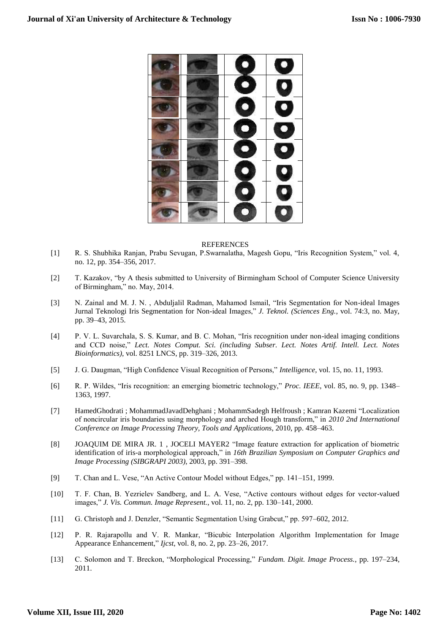

#### REFERENCES

- [1] R. S. Shubhika Ranjan, Prabu Sevugan, P.Swarnalatha, Magesh Gopu, "Iris Recognition System," vol. 4, no. 12, pp. 354–356, 2017.
- [2] T. Kazakov, "by A thesis submitted to University of Birmingham School of Computer Science University of Birmingham," no. May, 2014.
- [3] N. Zainal and M. J. N. , Abduljalil Radman, Mahamod Ismail, "Iris Segmentation for Non-ideal Images Jurnal Teknologi Iris Segmentation for Non-ideal Images," *J. Teknol. (Sciences Eng.*, vol. 74:3, no. May, pp. 39–43, 2015.
- [4] P. V. L. Suvarchala, S. S. Kumar, and B. C. Mohan, "Iris recognition under non-ideal imaging conditions and CCD noise," *Lect. Notes Comput. Sci. (including Subser. Lect. Notes Artif. Intell. Lect. Notes Bioinformatics)*, vol. 8251 LNCS, pp. 319–326, 2013.
- [5] J. G. Daugman, "High Confidence Visual Recognition of Persons," *Intelligence*, vol. 15, no. 11, 1993.
- [6] R. P. Wildes, "Iris recognition: an emerging biometric technology," *Proc. IEEE*, vol. 85, no. 9, pp. 1348– 1363, 1997.
- [7] [HamedGhodrati](https://ieeexplore.ieee.org/author/37712683900) ; [MohammadJavadDehghani](https://ieeexplore.ieee.org/author/37425815300) ; [MohammSadegh](https://ieeexplore.ieee.org/author/37541486900) Helfroush ; [Kamran Kazemi](https://ieeexplore.ieee.org/author/37545408700) "Localization of noncircular iris boundaries using morphology and arched Hough transform," in *2010 2nd International Conference on Image Processing Theory, Tools and Applications*, 2010, pp. 458–463.
- [8] JOAQUIM DE MIRA JR. 1 , JOCELI MAYER2 "Image feature extraction for application of biometric identification of iris-a morphological approach," in *16th Brazilian Symposium on Computer Graphics and Image Processing (SIBGRAPI 2003)*, 2003, pp. 391–398.
- [9] T. Chan and L. Vese, "An Active Contour Model without Edges," pp. 141–151, 1999.
- [10] T. F. Chan, B. Yezrielev Sandberg, and L. A. Vese, "Active contours without edges for vector-valued images," *J. Vis. Commun. Image Represent.*, vol. 11, no. 2, pp. 130–141, 2000.
- [11] G. Christoph and J. Denzler, "Semantic Segmentation Using Grabcut," pp. 597–602, 2012.
- [12] P. R. Rajarapollu and V. R. Mankar, "Bicubic Interpolation Algorithm Implementation for Image Appearance Enhancement," *Ijcst*, vol. 8, no. 2, pp. 23–26, 2017.
- [13] C. Solomon and T. Breckon, "Morphological Processing," *Fundam. Digit. Image Process.*, pp. 197–234, 2011.